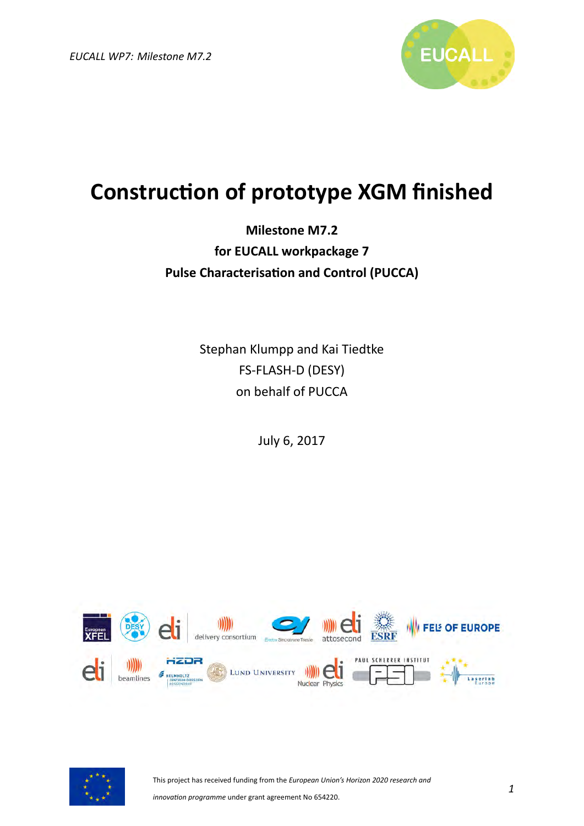

## **Construction of prototype XGM finished**

## **Milestone M7.2 for EUCALL workpackage 7 Pulse Characterisation and Control (PUCCA)**

Stephan Klumpp and Kai Tiedtke FS-FLASH-D (DESY) on behalf of PUCCA

July 6, 2017